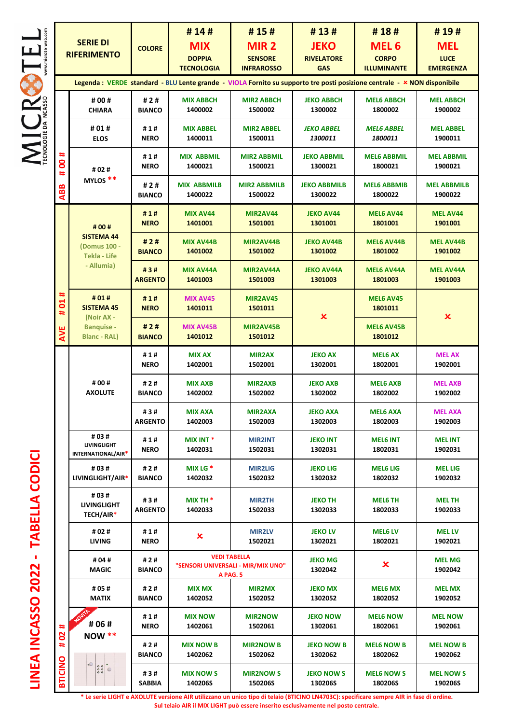$\underset{\text{reconcl}}{\text{MICRS}}\underset{\text{measurable}}{\text{R}}\underset{\text{measurable}}{\text{L}}\underset{\text{measurable}}{\text{L}}$ 

| <b>SERIE DI</b><br><b>RIFERIMENTO</b>                                                                                    |                                                                            | <b>COLORE</b>         | #14#<br><b>MIX</b><br><b>DOPPIA</b><br><b>TECNOLOGIA</b>              | #15#<br>MIR <sub>2</sub><br><b>SENSORE</b><br><b>INFRAROSSO</b> | #13#<br><b>JEKO</b><br><b>RIVELATORE</b><br><b>GAS</b>                                   | #18#<br><b>MEL6</b><br><b>CORPO</b><br><b>ILLUMINANTE</b> | #19#<br><b>MEL</b><br><b>LUCE</b><br><b>EMERGENZA</b> |  |
|--------------------------------------------------------------------------------------------------------------------------|----------------------------------------------------------------------------|-----------------------|-----------------------------------------------------------------------|-----------------------------------------------------------------|------------------------------------------------------------------------------------------|-----------------------------------------------------------|-------------------------------------------------------|--|
| Legenda : VERDE standard - BLU Lente grande - VIOLA Fornito su supporto tre posti posizione centrale - × NON disponibile |                                                                            |                       |                                                                       |                                                                 |                                                                                          |                                                           |                                                       |  |
| ∗<br>8<br>#                                                                                                              | # 00 #<br><b>CHIARA</b>                                                    | #2#<br><b>BIANCO</b>  | <b>MIX ABBCH</b><br>1400002                                           | <b>MIR2 ABBCH</b><br>1500002                                    | <b>JEKO ABBCH</b><br>1300002                                                             | <b>MEL6 ABBCH</b><br>1800002                              | <b>MEL ABBCH</b><br>1900002                           |  |
|                                                                                                                          | #01#<br><b>ELOS</b>                                                        | #1#<br><b>NERO</b>    | <b>MIX ABBEL</b><br>1400011                                           | <b>MIR2 ABBEL</b><br>1500011                                    | <b>JEKO ABBEL</b><br>1300011                                                             | <b>MEL6 ABBEL</b><br>1800011                              | <b>MEL ABBEL</b><br>1900011                           |  |
|                                                                                                                          | # 02 #                                                                     | #1#<br><b>NERO</b>    | <b>MIX ABBMIL</b><br>1400021                                          | <b>MIR2 ABBMIL</b><br>1500021                                   | <b>JEKO ABBMIL</b><br>1300021                                                            | <b>MEL6 ABBMIL</b><br>1800021                             | <b>MEL ABBMIL</b><br>1900021                          |  |
| <b>ABB</b>                                                                                                               | MYLOS <sup>**</sup>                                                        | #2#<br><b>BIANCO</b>  | <b>MIX ABBMILB</b><br>1400022                                         | <b>MIR2 ABBMILB</b><br>1500022                                  | <b>JEKO ABBMILB</b><br>1300022                                                           | <b>MEL6 ABBMIB</b><br>1800022                             | <b>MEL ABBMILB</b><br>1900022                         |  |
| #<br>$\overline{a}$<br>#<br>AVE                                                                                          | # 00 #                                                                     | #1#<br><b>NERO</b>    | MIX AV44<br>1401001                                                   | MIR2AV44<br>1501001                                             | <b>JEKO AV44</b><br>1301001                                                              | <b>MEL6 AV44</b><br>1801001                               | <b>MEL AV44</b><br>1901001                            |  |
|                                                                                                                          | <b>SISTEMA 44</b><br>(Domus 100 -<br><b>Tekla - Life</b>                   | #2#<br><b>BIANCO</b>  | <b>MIX AV44B</b><br>1401002                                           | MIR2AV44B<br>1501002                                            | <b>JEKO AV44B</b><br>1301002                                                             | <b>MEL6 AV44B</b><br>1801002                              | <b>MEL AV44B</b><br>1901002                           |  |
|                                                                                                                          | - Allumia)<br>#01#<br><b>SISTEMA 45</b><br>(Noir AX -<br><b>Banquise -</b> | #3#<br><b>ARGENTO</b> | <b>MIX AV44A</b><br>1401003                                           | MIR2AV44A<br>1501003                                            | <b>JEKO AV44A</b><br>1301003                                                             | <b>MEL6 AV44A</b><br>1801003                              | <b>MEL AV44A</b><br>1901003                           |  |
|                                                                                                                          |                                                                            | #1#<br><b>NERO</b>    | MIX AV45<br>1401011                                                   | <b>MIR2AV45</b><br>1501011                                      | <b>MEL6 AV45</b><br>1801011<br>$\boldsymbol{\mathsf{x}}$<br><b>MEL6 AV45B</b><br>1801012 |                                                           | $\boldsymbol{\mathsf{x}}$                             |  |
|                                                                                                                          | <b>Blanc - RAL)</b>                                                        | #2#<br><b>BIANCO</b>  | <b>MIX AV45B</b><br>1401012                                           | MIR2AV45B<br>1501012                                            |                                                                                          |                                                           |                                                       |  |
|                                                                                                                          |                                                                            | #1#                   | <b>MIX AX</b>                                                         | <b>MIR2AX</b>                                                   | <b>JEKO AX</b>                                                                           | <b>MEL6 AX</b>                                            | <b>MEL AX</b>                                         |  |
|                                                                                                                          | # 00 #<br><b>AXOLUTE</b><br>#03#<br>LIVINGLIGHT                            | <b>NERO</b>           | 1402001                                                               | 1502001                                                         | 1302001                                                                                  | 1802001                                                   | 1902001                                               |  |
|                                                                                                                          |                                                                            | #2#<br><b>BIANCO</b>  | <b>MIX AXB</b><br>1402002                                             | <b>MIR2AXB</b><br>1502002                                       | <b>JEKO AXB</b><br>1302002                                                               | <b>MEL6 AXB</b><br>1802002                                | <b>MEL AXB</b><br>1902002                             |  |
|                                                                                                                          |                                                                            | #3#<br><b>ARGENTO</b> | <b>MIX AXA</b><br>1402003                                             | <b>MIR2AXA</b><br>1502003                                       | <b>JEKO AXA</b><br>1302003                                                               | <b>MEL6 AXA</b><br>1802003                                | <b>MEL AXA</b><br>1902003                             |  |
|                                                                                                                          |                                                                            | #1#<br><b>NERO</b>    | MIX INT <sup>*</sup><br>1402031                                       | <b>MIR2INT</b><br>1502031                                       | <b>JEKO INT</b><br>1302031                                                               | <b>MEL6 INT</b><br>1802031                                | <b>MEL INT</b><br>1902031                             |  |
|                                                                                                                          | INTERNATIONAL/AIR*<br># 03 #<br>LIVINGLIGHT/AIR*                           | #2#<br><b>BIANCO</b>  | MIX LG $*$<br>1402032                                                 | <b>MIR2LIG</b><br>1502032                                       | <b>JEKO LIG</b><br>1302032                                                               | <b>MEL6 LIG</b><br>1802032                                | <b>MEL LIG</b><br>1902032                             |  |
|                                                                                                                          | #03#                                                                       |                       |                                                                       |                                                                 |                                                                                          |                                                           |                                                       |  |
|                                                                                                                          | <b>LIVINGLIGHT</b><br>TECH/AIR*                                            | #3#<br><b>ARGENTO</b> | MIX TH $*$<br>1402033                                                 | <b>MIR2TH</b><br>1502033                                        | <b>JEKO TH</b><br>1302033                                                                | <b>MEL6 TH</b><br>1802033                                 | <b>MEL TH</b><br>1902033                              |  |
|                                                                                                                          | # 02 #<br>LIVING                                                           | #1#<br><b>NERO</b>    | ×                                                                     | <b>MIR2LV</b><br>1502021                                        | <b>JEKO LV</b><br>1302021                                                                | <b>MEL6 LV</b><br>1802021                                 | <b>MEL LV</b><br>1902021                              |  |
| ∗<br><b>S</b><br>#<br><b>BTICINO</b>                                                                                     | # 04 #<br><b>MAGIC</b>                                                     | #2#<br><b>BIANCO</b>  | <b>VEDI TABELLA</b><br>"SENSORI UNIVERSALI - MIR/MIX UNO"<br>A PAG. 5 |                                                                 | <b>JEKO MG</b><br>1302042                                                                | ×                                                         | <b>MEL MG</b><br>1902042                              |  |
|                                                                                                                          | # 05 #<br><b>MATIX</b>                                                     | #2#<br><b>BIANCO</b>  | <b>MIX MX</b><br>1402052                                              | <b>MIR2MX</b><br>1502052                                        | <b>JEKO MX</b><br>1302052                                                                | <b>MEL6 MX</b><br>1802052                                 | <b>MEL MX</b><br>1902052                              |  |
|                                                                                                                          | # 06 #<br><b>NOW **</b>                                                    | #1#<br><b>NERO</b>    | <b>MIX NOW</b><br>1402061                                             | <b>MIR2NOW</b><br>1502061                                       | <b>JEKO NOW</b><br>1302061                                                               | <b>MEL6 NOW</b><br>1802061                                | <b>MEL NOW</b><br>1902061                             |  |
|                                                                                                                          |                                                                            | #2#<br><b>BIANCO</b>  | <b>MIX NOW B</b><br>1402062                                           | <b>MIR2NOW B</b><br>1502062                                     | <b>JEKO NOW B</b><br>1302062                                                             | <b>MEL6 NOW B</b><br>1802062                              | <b>MEL NOW B</b><br>1902062                           |  |
|                                                                                                                          | $\frac{22}{22}$                                                            | #3#<br>SABBIA         | <b>MIX NOW S</b><br>140206S                                           | <b>MIR2NOW S</b><br>150206S                                     | <b>JEKO NOW S</b><br>130206S                                                             | <b>MEL6 NOW S</b><br>180206S                              | <b>MEL NOW S</b><br>190206S                           |  |

**LINEA INCASSO 2022 - TABELLA CODICI**  LINEA INCASSO 2022 - TABELLA CODICI

> **\* Le serie LIGHT e AXOLUTE versione AIR utilizzano un unico tipo di telaio (BTICINO LN4703C): specificare sempre AIR in fase di ordine. Sul telaio AIR il MIX LIGHT può essere inserito esclusivamente nel posto centrale.**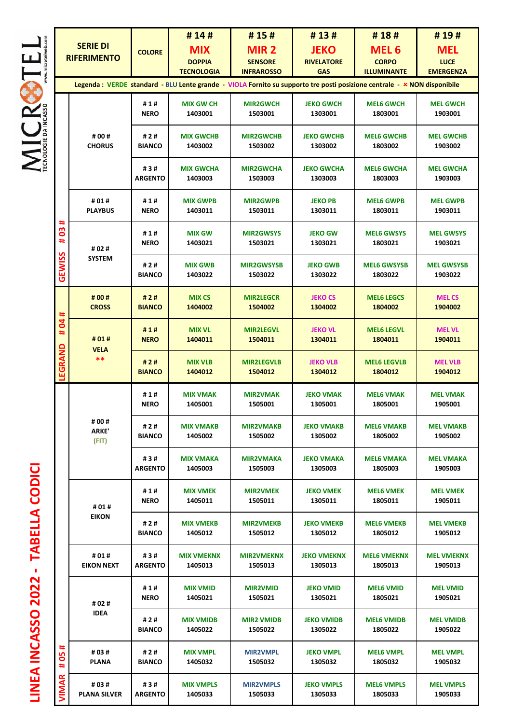|  |                | <b>SERIE DI</b><br><b>RIFERIMENTO</b> | <b>COLORE</b>         | #14#<br><b>MIX</b><br><b>DOPPIA</b><br><b>TECNOLOGIA</b> | #15#<br>MIR <sub>2</sub><br><b>SENSORE</b>                                                                                                                                        | #13#<br><b>JEKO</b><br><b>RIVELATORE</b> | #18#<br><b>MEL 6</b><br><b>CORPO</b> | #19#<br><b>MEL</b><br><b>LUCE</b>                                                                                                                                                                         |  |
|--|----------------|---------------------------------------|-----------------------|----------------------------------------------------------|-----------------------------------------------------------------------------------------------------------------------------------------------------------------------------------|------------------------------------------|--------------------------------------|-----------------------------------------------------------------------------------------------------------------------------------------------------------------------------------------------------------|--|
|  |                |                                       |                       |                                                          | <b>INFRAROSSO</b><br><b>GAS</b><br><b>ILLUMINANTE</b><br>Legenda : VERDE standard - BLU Lente grande - VIOLA Fornito su supporto tre posti posizione centrale - x NON disponibile |                                          |                                      |                                                                                                                                                                                                           |  |
|  |                | # 00 #<br><b>CHORUS</b>               | #1#<br><b>NERO</b>    | <b>MIX GW CH</b><br>1403001                              | <b>MIR2GWCH</b><br>1503001                                                                                                                                                        | <b>JEKO GWCH</b><br>1303001              | <b>MEL6 GWCH</b><br>1803001          | <b>MEL GWCH</b><br>1903001                                                                                                                                                                                |  |
|  |                |                                       | #2#<br><b>BIANCO</b>  | <b>MIX GWCHB</b><br>1403002                              | <b>MIR2GWCHB</b><br>1503002                                                                                                                                                       | <b>JEKO GWCHB</b><br>1303002             | <b>MEL6 GWCHB</b><br>1803002         | <b>MEL GWCHB</b><br>1903002                                                                                                                                                                               |  |
|  |                |                                       | #3#<br><b>ARGENTO</b> | <b>MIX GWCHA</b><br>1403003                              | <b>MIR2GWCHA</b><br>1503003                                                                                                                                                       | <b>JEKO GWCHA</b><br>1303003             | <b>MEL6 GWCHA</b><br>1803003         | <b>MEL GWCHA</b><br>1903003                                                                                                                                                                               |  |
|  |                | #01#<br><b>PLAYBUS</b>                | #1#<br><b>NERO</b>    | <b>MIX GWPB</b><br>1403011                               | <b>MIR2GWPB</b><br>1503011                                                                                                                                                        | <b>JEKO PB</b><br>1303011                | <b>MEL6 GWPB</b><br>1803011          | <b>MEL GWPB</b><br>1903011                                                                                                                                                                                |  |
|  | 03#<br>#       | # 02 #                                | #1#<br><b>NERO</b>    | <b>MIX GW</b><br>1403021                                 | <b>MIR2GWSYS</b><br>1503021                                                                                                                                                       | <b>JEKO GW</b><br>1303021                | <b>MEL6 GWSYS</b><br>1803021         | <b>MEL GWSYS</b><br>1903021                                                                                                                                                                               |  |
|  | <b>GEWISS</b>  | <b>SYSTEM</b>                         | #2#<br><b>BIANCO</b>  | <b>MIX GWB</b><br>1403022                                | <b>MIR2GWSYSB</b><br>1503022                                                                                                                                                      | <b>JEKO GWB</b><br>1303022               | <b>MEL6 GWSYSB</b><br>1803022        | <b>MEL GWSYSB</b><br>1903022                                                                                                                                                                              |  |
|  | #              | # 00 #<br><b>CROSS</b>                | #2#<br><b>BIANCO</b>  | <b>MIX CS</b><br>1404002                                 | <b>MIR2LEGCR</b><br>1504002                                                                                                                                                       | <b>JEKO CS</b><br>1304002                | <b>MEL6 LEGCS</b><br>1804002         | <b>MELCS</b><br>1904002                                                                                                                                                                                   |  |
|  | #04<br>LEGRAND | #01#<br><b>VELA</b><br>**             | #1#<br><b>NERO</b>    | <b>MIX VL</b><br>1404011                                 | <b>MIR2LEGVL</b><br>1504011                                                                                                                                                       | <b>JEKO VL</b><br>1304011                | <b>MEL6 LEGVL</b><br>1804011         | <b>MEL VL</b><br>1904011                                                                                                                                                                                  |  |
|  |                |                                       | #2#<br><b>BIANCO</b>  | <b>MIX VLB</b><br>1404012                                | <b>MIR2LEGVLB</b><br>1504012                                                                                                                                                      | <b>JEKO VLB</b><br>1304012               | <b>MEL6 LEGVLB</b><br>1804012        | <b>MEL VLB</b><br>1904012                                                                                                                                                                                 |  |
|  |                |                                       | #1#<br><b>NERO</b>    | <b>MIX VMAK</b><br>1405001                               | <b>MIR2VMAK</b><br>1505001                                                                                                                                                        | <b>JEKO VMAK</b><br>1305001              | <b>MEL6 VMAK</b><br>1805001          | <b>MEL VMAK</b><br>1905001                                                                                                                                                                                |  |
|  |                | # 00 #<br><b>ARKE'</b><br>(FIT)       | #2#<br><b>BIANCO</b>  | <b>MIX VMAKB</b><br>1405002                              | <b>MIR2VMAKB</b><br>1505002                                                                                                                                                       | <b>JEKO VMAKB</b><br>1305002             | <b>MEL6 VMAKB</b><br>1805002         | <b>MEL VMAKB</b><br>1905002                                                                                                                                                                               |  |
|  |                |                                       | #3#<br><b>ARGENTO</b> | <b>MIX VMAKA</b><br>1405003                              | <b>MIR2VMAKA</b><br>1505003                                                                                                                                                       | <b>JEKO VMAKA</b><br>1305003             | <b>MEL6 VMAKA</b><br>1805003         | <b>MEL VMAKA</b><br>1905003                                                                                                                                                                               |  |
|  |                | #01#                                  | #1#<br><b>NERO</b>    | <b>MIX VMEK</b><br>1405011                               | <b>MIR2VMEK</b><br>1505011                                                                                                                                                        | <b>JEKO VMEK</b><br>1305011              | <b>MEL6 VMEK</b><br>1805011          | <b>MEL VMEK</b><br>1905011                                                                                                                                                                                |  |
|  |                | <b>EIKON</b>                          | #2#<br><b>BIANCO</b>  | <b>MIX VMEKB</b><br>1405012                              | <b>MIR2VMEKB</b><br>1505012                                                                                                                                                       | <b>JEKO VMEKB</b><br>1305012             | <b>MEL6 VMEKB</b><br>1805012         | <b>EMERGENZA</b><br><b>MEL VMEKB</b><br>1905012<br><b>MEL VMEKNX</b><br>1905013<br><b>MEL VMID</b><br>1905021<br><b>MEL VMIDB</b><br>1905022<br><b>MEL VMPL</b><br>1905032<br><b>MEL VMPLS</b><br>1905033 |  |
|  |                | #01#<br><b>EIKON NEXT</b>             | #3#<br><b>ARGENTO</b> | <b>MIX VMEKNX</b><br>1405013                             | <b>MIR2VMEKNX</b><br>1505013                                                                                                                                                      | <b>JEKO VMEKNX</b><br>1305013            | <b>MEL6 VMEKNX</b><br>1805013        |                                                                                                                                                                                                           |  |
|  |                | # 02 #                                | #1#<br><b>NERO</b>    | <b>MIX VMID</b><br>1405021                               | <b>MIR2VMID</b><br>1505021                                                                                                                                                        | <b>JEKO VMID</b><br>1305021              | <b>MEL6 VMID</b><br>1805021          |                                                                                                                                                                                                           |  |
|  |                | <b>IDEA</b>                           | #2#<br><b>BIANCO</b>  | <b>MIX VMIDB</b><br>1405022                              | <b>MIR2 VMIDB</b><br>1505022                                                                                                                                                      | <b>JEKO VMIDB</b><br>1305022             | <b>MEL6 VMIDB</b><br>1805022         |                                                                                                                                                                                                           |  |
|  | ♯<br>80<br>#   | # 03 #<br><b>PLANA</b>                | #2#<br><b>BIANCO</b>  | <b>MIX VMPL</b><br>1405032                               | <b>MIR2VMPL</b><br>1505032                                                                                                                                                        | <b>JEKO VMPL</b><br>1305032              | <b>MEL6 VMPL</b><br>1805032          |                                                                                                                                                                                                           |  |
|  | <b>VIMAR</b>   | # 03 #<br><b>PLANA SILVER</b>         | #3#<br><b>ARGENTO</b> | <b>MIX VMPLS</b><br>1405033                              | <b>MIR2VMPLS</b><br>1505033                                                                                                                                                       | <b>JEKO VMPLS</b><br>1305033             | <b>MEL6 VMPLS</b><br>1805033         |                                                                                                                                                                                                           |  |

MICRSSTEL

**LINEA INCASSO 2022 - TABELLA CODICI**  LINEA INCASSO 2022 - TABELLA CODICI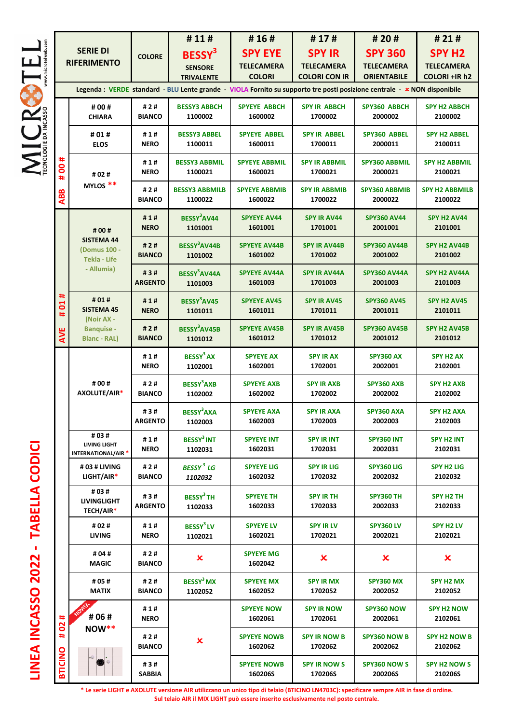|                      |                            |                                                                                       |                       | #11#                                                                                                                     | #16#                            | #17#                            | # 20 #                                | #21#                             |
|----------------------|----------------------------|---------------------------------------------------------------------------------------|-----------------------|--------------------------------------------------------------------------------------------------------------------------|---------------------------------|---------------------------------|---------------------------------------|----------------------------------|
| www.microtelweb.com  |                            | <b>SERIE DI</b>                                                                       | <b>COLORE</b>         | BESSY <sup>3</sup>                                                                                                       | <b>SPY EYE</b>                  | <b>SPY IR</b>                   | <b>SPY 360</b>                        | <b>SPY H2</b>                    |
|                      |                            | <b>RIFERIMENTO</b>                                                                    |                       | <b>SENSORE</b>                                                                                                           | <b>TELECAMERA</b>               | <b>TELECAMERA</b>               | <b>TELECAMERA</b>                     | <b>TELECAMERA</b>                |
|                      |                            |                                                                                       |                       | <b>TRIVALENTE</b>                                                                                                        | <b>COLORI</b>                   | <b>COLORI CON IR</b>            | <b>ORIENTABILE</b>                    | <b>COLORI +IR h2</b>             |
|                      |                            |                                                                                       |                       | Legenda : VERDE standard - BLU Lente grande - VIOLA Fornito su supporto tre posti posizione centrale - * NON disponibile |                                 |                                 |                                       |                                  |
|                      |                            | # 00 #<br><b>CHIARA</b>                                                               | #2#<br><b>BIANCO</b>  | <b>BESSY3 ABBCH</b><br>1100002                                                                                           | <b>SPYEYE ABBCH</b><br>1600002  | <b>SPY IR ABBCH</b><br>1700002  | SPY360 ABBCH<br>2000002               | <b>SPY H2 ABBCH</b><br>2100002   |
| ECNOLOGIE DA INCASSO | #<br>8<br>#.<br><b>ABB</b> | #01#<br><b>ELOS</b>                                                                   | #1#<br><b>NERO</b>    | <b>BESSY3 ABBEL</b><br>1100011                                                                                           | <b>SPYEYE ABBEL</b><br>1600011  | <b>SPY IR ABBEL</b><br>1700011  | SPY360 ABBEL<br>2000011               | <b>SPY H2 ABBEL</b><br>2100011   |
|                      |                            | # 02 #<br>MYLOS **                                                                    | #1#<br><b>NERO</b>    | <b>BESSY3 ABBMIL</b><br>1100021                                                                                          | <b>SPYEYE ABBMIL</b><br>1600021 | <b>SPY IR ABBMIL</b><br>1700021 | <b>SPY360 ABBMIL</b><br>2000021       | <b>SPY H2 ABBMIL</b><br>2100021  |
|                      |                            |                                                                                       | #2#<br><b>BIANCO</b>  | <b>BESSY3 ABBMILB</b><br>1100022                                                                                         | <b>SPYEYE ABBMIB</b><br>1600022 | <b>SPY IR ABBMIB</b><br>1700022 | <b>SPY360 ABBMIB</b><br>2000022       | <b>SPY H2 ABBMILB</b><br>2100022 |
|                      |                            | # 00 #                                                                                | #1#<br><b>NERO</b>    | BESSY <sup>3</sup> AV44<br>1101001                                                                                       | <b>SPYEYE AV44</b><br>1601001   | <b>SPY IR AV44</b><br>1701001   | <b>SPY360 AV44</b><br>2001001         | SPY H2 AV44<br>2101001           |
|                      |                            | <b>SISTEMA 44</b><br>(Domus 100 -<br><b>Tekla - Life</b>                              | #2#<br><b>BIANCO</b>  | BESSY <sup>3</sup> AV44B<br>1101002                                                                                      | <b>SPYEYE AV44B</b><br>1601002  | <b>SPY IR AV44B</b><br>1701002  | <b>SPY360 AV44B</b><br>2001002        | SPY H2 AV44B<br>2101002          |
|                      |                            | - Allumia)                                                                            | #3#<br><b>ARGENTO</b> | BESSY <sup>3</sup> AV44A<br>1101003                                                                                      | <b>SPYEYE AV44A</b><br>1601003  | <b>SPY IR AV44A</b><br>1701003  | <b>SPY360 AV44A</b><br>2001003        | SPY H2 AV44A<br>2101003          |
|                      | ∗<br><b>DO</b><br>#        | # 01 #<br><b>SISTEMA 45</b><br>(Noir AX -<br><b>Banquise -</b><br><b>Blanc - RAL)</b> | #1#<br><b>NERO</b>    | BESSY <sup>3</sup> AV45<br>1101011                                                                                       | <b>SPYEYE AV45</b><br>1601011   | <b>SPY IR AV45</b><br>1701011   | <b>SPY360 AV45</b><br>2001011         | SPY H2 AV45<br>2101011           |
|                      | AVE                        |                                                                                       | #2#<br><b>BIANCO</b>  | BESSY <sup>3</sup> AV45B<br>1101012                                                                                      | <b>SPYEYE AV45B</b><br>1601012  | <b>SPY IR AV45B</b><br>1701012  | <b>SPY360 AV45B</b><br>2001012        | SPY H2 AV45B<br>2101012          |
|                      |                            | # 00 #<br>AXOLUTE/AIR*                                                                | #1#<br><b>NERO</b>    | BESSY <sup>3</sup> AX<br>1102001                                                                                         | <b>SPYEYE AX</b><br>1602001     | <b>SPY IR AX</b><br>1702001     | <b>SPY360 AX</b><br>2002001           | <b>SPY H2 AX</b><br>2102001      |
|                      |                            |                                                                                       | #2#<br><b>BIANCO</b>  | <b>BESSY<sup>3</sup>AXB</b><br>1102002                                                                                   | <b>SPYEYE AXB</b><br>1602002    | <b>SPY IR AXB</b><br>1702002    | SPY360 AXB<br>2002002                 | <b>SPY H2 AXB</b><br>2102002     |
|                      |                            |                                                                                       | #3#<br><b>ARGENTO</b> | <b>BESSY<sup>3</sup>AXA</b><br>1102003                                                                                   | <b>SPYEYE AXA</b><br>1602003    | <b>SPY IR AXA</b><br>1702003    | SPY360 AXA<br>2002003                 | <b>SPY H2 AXA</b><br>2102003     |
|                      |                            | # 03 #<br>LIVING LIGHT<br><b>INTERNATIONAL/AIR*</b>                                   | #1#<br><b>NERO</b>    | BESSY <sup>3</sup> INT<br>1102031                                                                                        | <b>SPYEYE INT</b><br>1602031    | <b>SPY IR INT</b><br>1702031    | SPY360 INT<br>2002031                 | <b>SPY H2 INT</b><br>2102031     |
|                      |                            | #03 # LIVING<br>$LIGHT/AIR*$                                                          | #2#<br><b>BIANCO</b>  | BESSY <sup>3</sup> LG<br>1102032                                                                                         | <b>SPYEYE LIG</b><br>1602032    | <b>SPY IR LIG</b><br>1702032    | SPY360 LIG<br>2002032                 | <b>SPY H2 LIG</b><br>2102032     |
|                      |                            | # 03 #<br><b>LIVINGLIGHT</b><br>TECH/AIR*                                             | #3#<br><b>ARGENTO</b> | BESSY <sup>3</sup> TH<br>1102033                                                                                         | <b>SPYEYE TH</b><br>1602033     | <b>SPY IR TH</b><br>1702033     | <b>SPY360 TH</b><br>2002033           | SPY H <sub>2</sub> TH<br>2102033 |
|                      |                            | # 02 #<br><b>LIVING</b>                                                               | #1#<br><b>NERO</b>    | BESSY <sup>3</sup> LV<br>1102021                                                                                         | <b>SPYEYE LV</b><br>1602021     | <b>SPY IR LV</b><br>1702021     | <b>SPY360 LV</b><br>2002021           | <b>SPY H2 LV</b><br>2102021      |
|                      |                            | # 04 #<br><b>MAGIC</b>                                                                | #2#<br><b>BIANCO</b>  | ×                                                                                                                        | <b>SPYEYE MG</b><br>1602042     | x                               | $\boldsymbol{\mathsf{x}}$             | $\boldsymbol{\mathsf{x}}$        |
|                      |                            | # 05 #<br><b>MATIX</b>                                                                | #2#<br><b>BIANCO</b>  | BESSY <sup>3</sup> MX<br>1102052                                                                                         | <b>SPYEYE MX</b><br>1602052     | <b>SPY IR MX</b><br>1702052     | <b>SPY360 MX</b><br>2002052           | SPY H2 MX<br>2102052             |
|                      | #<br>2o                    | # 06 #                                                                                | #1#<br><b>NERO</b>    |                                                                                                                          | <b>SPYEYE NOW</b><br>1602061    | <b>SPY IR NOW</b><br>1702061    | SPY360 NOW<br>2002061                 | <b>SPY H2 NOW</b><br>2102061     |
|                      | ÷,                         | $\text{Now**}$                                                                        | #2#<br><b>BIANCO</b>  | $\pmb{\times}$                                                                                                           | <b>SPYEYE NOWB</b><br>1602062   | <b>SPY IR NOW B</b><br>1702062  | <b>SPY360 NOW B</b><br>2002062        | <b>SPY H2 NOW B</b><br>2102062   |
|                      | <b>BTICINO</b>             |                                                                                       | #3#<br>SABBIA         |                                                                                                                          | <b>SPYEYE NOWB</b><br>160206S   | <b>SPY IR NOW S</b><br>170206S  | <b>SPY360 NOW S</b><br><b>200206S</b> | <b>SPY H2 NOW S</b><br>210206S   |

MICROTEL

**LINEA INCASSO 2022 - TABELLA CODICI** LINEA INCASSO 2022 - TABELLA CODICI

> **\* Le serie LIGHT e AXOLUTE versione AIR utilizzano un unico tipo di telaio (BTICINO LN4703C): specificare sempre AIR in fase di ordine. Sul telaio AIR il MIX LIGHT può essere inserito esclusivamente nel posto centrale.**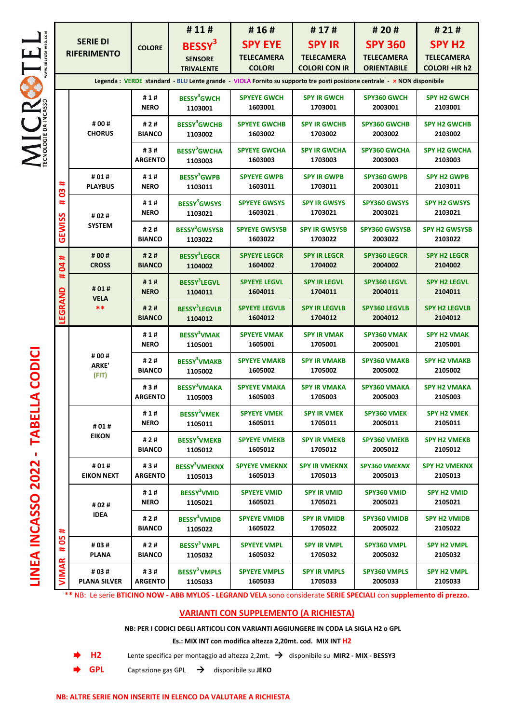|                                       |                                                                                                                         |                       | #11#                                                      | #16#                                          | #17#                                                       | # 20 #                                                    | #21#                                                       |  |
|---------------------------------------|-------------------------------------------------------------------------------------------------------------------------|-----------------------|-----------------------------------------------------------|-----------------------------------------------|------------------------------------------------------------|-----------------------------------------------------------|------------------------------------------------------------|--|
| <b>SERIE DI</b><br><b>RIFERIMENTO</b> |                                                                                                                         | <b>COLORE</b>         | BESSY <sup>3</sup><br><b>SENSORE</b><br><b>TRIVALENTE</b> | <b>SPY EYE</b><br>TELECAMERA<br><b>COLORI</b> | <b>SPY IR</b><br><b>TELECAMERA</b><br><b>COLORI CON IR</b> | <b>SPY 360</b><br><b>TELECAMERA</b><br><b>ORIENTABILE</b> | <b>SPY H2</b><br><b>TELECAMERA</b><br><b>COLORI +IR h2</b> |  |
|                                       | Legenda: VERDE standard - BLU Lente grande - VIOLA Fornito su supporto tre posti posizione centrale - * NON disponibile |                       |                                                           |                                               |                                                            |                                                           |                                                            |  |
|                                       | # 00 #<br><b>CHORUS</b>                                                                                                 | #1#<br><b>NERO</b>    | <b>BESSY<sup>3</sup>GWCH</b><br>1103001                   | <b>SPYEYE GWCH</b><br>1603001                 | <b>SPY IR GWCH</b><br>1703001                              | <b>SPY360 GWCH</b><br>2003001                             | <b>SPY H2 GWCH</b><br>2103001                              |  |
|                                       |                                                                                                                         | #2#<br><b>BIANCO</b>  | <b>BESSY<sup>3</sup>GWCHB</b><br>1103002                  | <b>SPYEYE GWCHB</b><br>1603002                | <b>SPY IR GWCHB</b><br>1703002                             | <b>SPY360 GWCHB</b><br>2003002                            | <b>SPY H2 GWCHB</b><br>2103002                             |  |
|                                       |                                                                                                                         | #3#<br><b>ARGENTO</b> | <b>BESSY<sup>3</sup>GWCHA</b><br>1103003                  | <b>SPYEYE GWCHA</b><br>1603003                | <b>SPY IR GWCHA</b><br>1703003                             | <b>SPY360 GWCHA</b><br>2003003                            | <b>SPY H2 GWCHA</b><br>2103003                             |  |
| #<br>80                               | #01#<br><b>PLAYBUS</b>                                                                                                  | #1#<br><b>NERO</b>    | <b>BESSY<sup>3</sup>GWPB</b><br>1103011                   | <b>SPYEYE GWPB</b><br>1603011                 | <b>SPY IR GWPB</b><br>1703011                              | <b>SPY360 GWPB</b><br>2003011                             | <b>SPY H2 GWPB</b><br>2103011                              |  |
| #                                     | # 02 #<br><b>SYSTEM</b>                                                                                                 | #1#<br><b>NERO</b>    | <b>BESSY<sup>3</sup>GWSYS</b><br>1103021                  | <b>SPYEYE GWSYS</b><br>1603021                | <b>SPY IR GWSYS</b><br>1703021                             | <b>SPY360 GWSYS</b><br>2003021                            | <b>SPY H2 GWSYS</b><br>2103021                             |  |
| GEWISS                                |                                                                                                                         | #2#<br><b>BIANCO</b>  | <b>BESSY<sup>3</sup>GWSYSB</b><br>1103022                 | <b>SPYEYE GWSYSB</b><br>1603022               | <b>SPY IR GWSYSB</b><br>1703022                            | <b>SPY360 GWSYSB</b><br>2003022                           | <b>SPY H2 GWSYSB</b><br>2103022                            |  |
| #<br>$\overline{a}$                   | # 00 #<br><b>CROSS</b>                                                                                                  | #2#<br><b>BIANCO</b>  | <b>BESSY<sup>3</sup>LEGCR</b><br>1104002                  | <b>SPYEYE LEGCR</b><br>1604002                | <b>SPY IR LEGCR</b><br>1704002                             | <b>SPY360 LEGCR</b><br>2004002                            | <b>SPY H2 LEGCR</b><br>2104002                             |  |
| #<br>LEGRAND                          | # 01 #<br><b>VELA</b><br>**                                                                                             | #1#<br><b>NERO</b>    | <b>BESSY<sup>3</sup>LEGVL</b><br>1104011                  | <b>SPYEYE LEGVL</b><br>1604011                | <b>SPY IR LEGVL</b><br>1704011                             | <b>SPY360 LEGVL</b><br>2004011                            | <b>SPY H2 LEGVL</b><br>2104011                             |  |
|                                       |                                                                                                                         | #2#<br><b>BIANCO</b>  | <b>BESSY<sup>3</sup>LEGVLB</b><br>1104012                 | <b>SPYEYE LEGVLB</b><br>1604012               | <b>SPY IR LEGVLB</b><br>1704012                            | <b>SPY360 LEGVLB</b><br>2004012                           | <b>SPY H2 LEGVLB</b><br>2104012                            |  |
|                                       | # 00 #<br><b>ARKE'</b><br>(FIT)                                                                                         | #1#<br><b>NERO</b>    | <b>BESSY<sup>3</sup>VMAK</b><br>1105001                   | <b>SPYEYE VMAK</b><br>1605001                 | <b>SPY IR VMAK</b><br>1705001                              | <b>SPY360 VMAK</b><br>2005001                             | <b>SPY H2 VMAK</b><br>2105001                              |  |
|                                       |                                                                                                                         | #2#<br><b>BIANCO</b>  | <b>BESSY<sup>3</sup>VMAKB</b><br>1105002                  | <b>SPYEYE VMAKB</b><br>1605002                | <b>SPY IR VMAKB</b><br>1705002                             | <b>SPY360 VMAKB</b><br>2005002                            | <b>SPY H2 VMAKB</b><br>2105002                             |  |
|                                       |                                                                                                                         | #3#<br><b>ARGENTO</b> | <b>BESSY<sup>3</sup>VMAKA</b><br>1105003                  | <b>SPYEYE VMAKA</b><br>1605003                | <b>SPY IR VMAKA</b><br>1705003                             | <b>SPY360 VMAKA</b><br>2005003                            | <b>SPY H2 VMAKA</b><br>2105003                             |  |
|                                       | #01#                                                                                                                    | #1#<br><b>NERO</b>    | <b>BESSY<sup>3</sup>VMEK</b><br>1105011                   | <b>SPYEYE VMEK</b><br>1605011                 | <b>SPY IR VMEK</b><br>1705011                              | <b>SPY360 VMEK</b><br>2005011                             | <b>SPY H2 VMEK</b><br>2105011                              |  |
|                                       | <b>EIKON</b>                                                                                                            | #2#<br><b>BIANCO</b>  | <b>BESSY<sup>3</sup>VMEKB</b><br>1105012                  | <b>SPYEYE VMEKB</b><br>1605012                | <b>SPY IR VMEKB</b><br>1705012                             | <b>SPY360 VMEKB</b><br>2005012                            | <b>SPY H2 VMEKB</b><br>2105012                             |  |
|                                       | #01#<br><b>EIKON NEXT</b>                                                                                               | #3#<br><b>ARGENTO</b> | <b>BESSY<sup>3</sup>VMEKNX</b><br>1105013                 | <b>SPYEYE VMEKNX</b><br>1605013               | <b>SPY IR VMEKNX</b><br>1705013                            | <b>SPY360 VMEKNX</b><br>2005013                           | <b>SPY H2 VMEKNX</b><br>2105013                            |  |
|                                       | # 02 #                                                                                                                  | #1#<br><b>NERO</b>    | BESSY <sup>3</sup> VMID<br>1105021                        | <b>SPYEYE VMID</b><br>1605021                 | <b>SPY IR VMID</b><br>1705021                              | SPY360 VMID<br>2005021                                    | <b>SPY H2 VMID</b><br>2105021                              |  |
| #                                     | <b>IDEA</b>                                                                                                             | #2#<br><b>BIANCO</b>  | <b>BESSY<sup>3</sup>VMIDB</b><br>1105022                  | <b>SPYEYE VMIDB</b><br>1605022                | <b>SPY IR VMIDB</b><br>1705022                             | <b>SPY360 VMIDB</b><br>2005022                            | <b>SPY H2 VMIDB</b><br>2105022                             |  |
| 95<br>#                               | #03#<br><b>PLANA</b>                                                                                                    | #2#<br><b>BIANCO</b>  | BESSY <sup>3</sup> VMPL<br>1105032                        | <b>SPYEYE VMPL</b><br>1605032                 | <b>SPY IR VMPL</b><br>1705032                              | SPY360 VMPL<br>2005032                                    | <b>SPY H2 VMPL</b><br>2105032                              |  |
| <b>VIMAR</b>                          | # 03 #<br><b>PLANA SILVER</b>                                                                                           | #3#<br><b>ARGENTO</b> | <b>BESSY<sup>3</sup> VMPLS</b><br>1105033                 | <b>SPYEYE VMPLS</b><br>1605033                | <b>SPY IR VMPLS</b><br>1705033                             | <b>SPY360 VMPLS</b><br>2005033                            | <b>SPY H2 VMPL</b><br>2105033                              |  |

**\*\*** NB: Le serie **BTICINO NOW - ABB MYLOS - LEGRAND VELA** sono considerate **SERIE SPECIALI** con **supplemento di prezzo.** 

## **VARIANTI CON SUPPLEMENTO (A RICHIESTA)**

**NB: PER I CODICI DEGLI ARTICOLI CON VARIANTI AGGIUNGERE IN CODA LA SIGLA H2 o GPL** 

**Es.: MIX INT con modifica altezza 2,20mt. cod. MIX INT H2**

**H2** Lente specifica per montaggio ad altezza 2,2mt. **→** disponibile su **MIR2 - MIX - BESSY3** 

- **GPL** Captazione gas GPL **→** disponibile su **JEKO**
	-



**LINEA INCASSO 2022 - TABELLA CODICI**  LINEA INCASSO 2022 - TABELLA CODICI